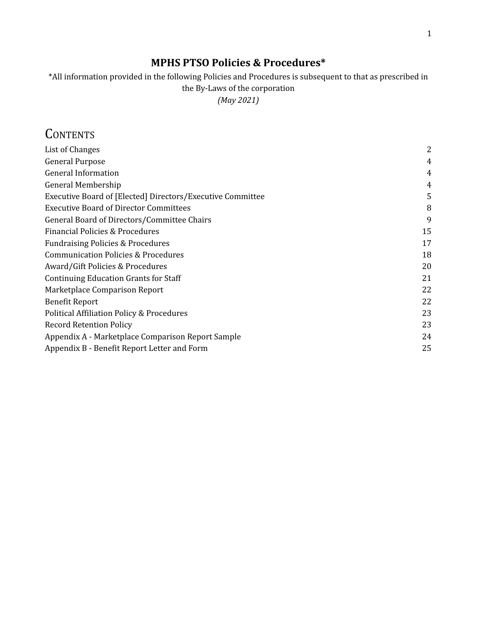### **MPHS PTSO Policies & Procedures\***

\*All information provided in the following Policies and Procedures is subsequent to that as prescribed in the By-Laws of the corporation *(May 2021)*

## **CONTENTS**

| List of Changes                                            | 2  |
|------------------------------------------------------------|----|
| <b>General Purpose</b>                                     | 4  |
| <b>General Information</b>                                 | 4  |
| General Membership                                         | 4  |
| Executive Board of [Elected] Directors/Executive Committee | 5  |
| <b>Executive Board of Director Committees</b>              | 8  |
| General Board of Directors/Committee Chairs                | 9  |
| Financial Policies & Procedures                            | 15 |
| <b>Fundraising Policies &amp; Procedures</b>               | 17 |
| <b>Communication Policies &amp; Procedures</b>             | 18 |
| Award/Gift Policies & Procedures                           | 20 |
| <b>Continuing Education Grants for Staff</b>               | 21 |
| Marketplace Comparison Report                              | 22 |
| <b>Benefit Report</b>                                      | 22 |
| <b>Political Affiliation Policy &amp; Procedures</b>       | 23 |
| <b>Record Retention Policy</b>                             | 23 |
| Appendix A - Marketplace Comparison Report Sample          | 24 |
| Appendix B - Benefit Report Letter and Form                | 25 |
|                                                            |    |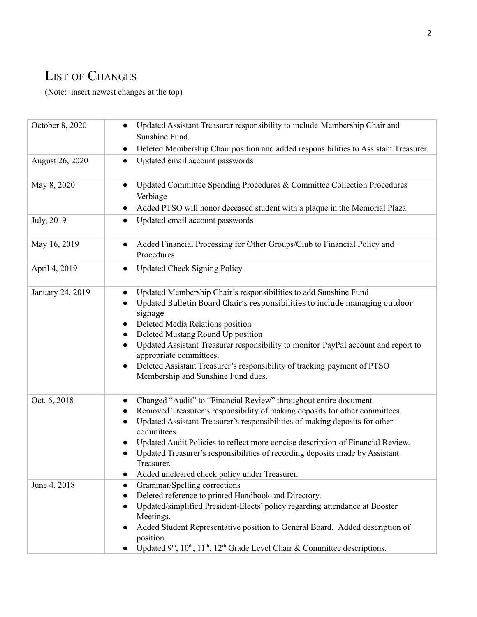# <span id="page-1-0"></span>LIST OF CHANGES

(Note: insert newest changes at the top)

| October 8, 2020  | Updated Assistant Treasurer responsibility to include Membership Chair and<br>Sunshine Fund.                                                                                                                                                                                                                                                                                                                                                                                                                  |  |  |  |
|------------------|---------------------------------------------------------------------------------------------------------------------------------------------------------------------------------------------------------------------------------------------------------------------------------------------------------------------------------------------------------------------------------------------------------------------------------------------------------------------------------------------------------------|--|--|--|
|                  | Deleted Membership Chair position and added responsibilities to Assistant Treasurer.<br>$\bullet$                                                                                                                                                                                                                                                                                                                                                                                                             |  |  |  |
| August 26, 2020  | Updated email account passwords<br>$\bullet$                                                                                                                                                                                                                                                                                                                                                                                                                                                                  |  |  |  |
| May 8, 2020      | Updated Committee Spending Procedures & Committee Collection Procedures<br>$\bullet$                                                                                                                                                                                                                                                                                                                                                                                                                          |  |  |  |
|                  | Verbiage                                                                                                                                                                                                                                                                                                                                                                                                                                                                                                      |  |  |  |
|                  | Added PTSO will honor deceased student with a plaque in the Memorial Plaza                                                                                                                                                                                                                                                                                                                                                                                                                                    |  |  |  |
| July, 2019       | Updated email account passwords<br>$\bullet$                                                                                                                                                                                                                                                                                                                                                                                                                                                                  |  |  |  |
| May 16, 2019     | Added Financial Processing for Other Groups/Club to Financial Policy and<br>Procedures                                                                                                                                                                                                                                                                                                                                                                                                                        |  |  |  |
| April 4, 2019    | <b>Updated Check Signing Policy</b>                                                                                                                                                                                                                                                                                                                                                                                                                                                                           |  |  |  |
| January 24, 2019 | Updated Membership Chair's responsibilities to add Sunshine Fund<br>$\bullet$<br>Updated Bulletin Board Chair's responsibilities to include managing outdoor<br>$\bullet$<br>signage<br>Deleted Media Relations position<br>Deleted Mustang Round Up position<br>Updated Assistant Treasurer responsibility to monitor PayPal account and report to<br>$\bullet$<br>appropriate committees.<br>Deleted Assistant Treasurer's responsibility of tracking payment of PTSO<br>Membership and Sunshine Fund dues. |  |  |  |
| Oct. 6, 2018     | Changed "Audit" to "Financial Review" throughout entire document<br>$\bullet$<br>Removed Treasurer's responsibility of making deposits for other committees<br>Updated Assistant Treasurer's responsibilities of making deposits for other<br>committees.<br>Updated Audit Policies to reflect more concise description of Financial Review.<br>Updated Treasurer's responsibilities of recording deposits made by Assistant<br>Treasurer.<br>Added uncleared check policy under Treasurer.                   |  |  |  |
| June 4, 2018     | Grammar/Spelling corrections<br>$\bullet$<br>Deleted reference to printed Handbook and Directory.<br>Updated/simplified President-Elects' policy regarding attendance at Booster<br>Meetings.<br>Added Student Representative position to General Board. Added description of<br>position.<br>Updated 9 <sup>th</sup> , 10 <sup>th</sup> , 11 <sup>th</sup> , 12 <sup>th</sup> Grade Level Chair & Committee descriptions.                                                                                    |  |  |  |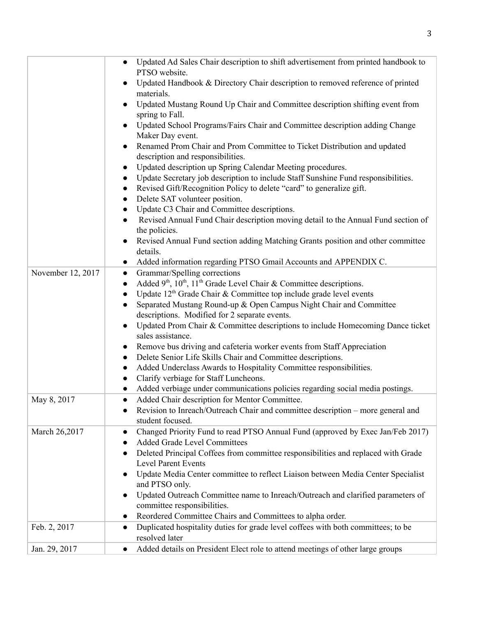|                   | Updated Ad Sales Chair description to shift advertisement from printed handbook to                                   |
|-------------------|----------------------------------------------------------------------------------------------------------------------|
|                   | PTSO website.                                                                                                        |
|                   | Updated Handbook & Directory Chair description to removed reference of printed                                       |
|                   | materials.                                                                                                           |
|                   | Updated Mustang Round Up Chair and Committee description shifting event from                                         |
|                   | spring to Fall.                                                                                                      |
|                   | Updated School Programs/Fairs Chair and Committee description adding Change                                          |
|                   | Maker Day event.                                                                                                     |
|                   | Renamed Prom Chair and Prom Committee to Ticket Distribution and updated                                             |
|                   | description and responsibilities.                                                                                    |
|                   | Updated description up Spring Calendar Meeting procedures.<br>$\bullet$                                              |
|                   | Update Secretary job description to include Staff Sunshine Fund responsibilities.<br>$\bullet$                       |
|                   | Revised Gift/Recognition Policy to delete "card" to generalize gift.<br>$\bullet$                                    |
|                   | Delete SAT volunteer position.<br>$\bullet$                                                                          |
|                   | Update C3 Chair and Committee descriptions.<br>$\bullet$                                                             |
|                   | Revised Annual Fund Chair description moving detail to the Annual Fund section of<br>$\bullet$                       |
|                   | the policies.                                                                                                        |
|                   | Revised Annual Fund section adding Matching Grants position and other committee                                      |
|                   | details.                                                                                                             |
|                   | Added information regarding PTSO Gmail Accounts and APPENDIX C.<br>$\bullet$                                         |
| November 12, 2017 | Grammar/Spelling corrections<br>$\bullet$                                                                            |
|                   | Added 9 <sup>th</sup> , 10 <sup>th</sup> , 11 <sup>th</sup> Grade Level Chair & Committee descriptions.<br>$\bullet$ |
|                   | Update 12 <sup>th</sup> Grade Chair & Committee top include grade level events<br>$\bullet$                          |
|                   | Separated Mustang Round-up & Open Campus Night Chair and Committee<br>$\bullet$                                      |
|                   | descriptions. Modified for 2 separate events.                                                                        |
|                   | Updated Prom Chair & Committee descriptions to include Homecoming Dance ticket<br>$\bullet$                          |
|                   | sales assistance.                                                                                                    |
|                   | Remove bus driving and cafeteria worker events from Staff Appreciation<br>$\bullet$                                  |
|                   | Delete Senior Life Skills Chair and Committee descriptions.<br>$\bullet$                                             |
|                   | Added Underclass Awards to Hospitality Committee responsibilities.<br>$\bullet$                                      |
|                   | Clarify verbiage for Staff Luncheons.<br>$\bullet$                                                                   |
|                   | Added verbiage under communications policies regarding social media postings.<br>$\bullet$                           |
| May 8, 2017       | Added Chair description for Mentor Committee.<br>$\bullet$                                                           |
|                   | Revision to Inreach/Outreach Chair and committee description - more general and                                      |
|                   | student focused.                                                                                                     |
| March 26,2017     | Changed Priority Fund to read PTSO Annual Fund (approved by Exec Jan/Feb 2017)<br>$\bullet$                          |
|                   | <b>Added Grade Level Committees</b>                                                                                  |
|                   | Deleted Principal Coffees from committee responsibilities and replaced with Grade<br>$\bullet$                       |
|                   | <b>Level Parent Events</b>                                                                                           |
|                   | Update Media Center committee to reflect Liaison between Media Center Specialist                                     |
|                   | and PTSO only.                                                                                                       |
|                   | Updated Outreach Committee name to Inreach/Outreach and clarified parameters of<br>$\bullet$                         |
|                   | committee responsibilities.                                                                                          |
|                   | Reordered Committee Chairs and Committees to alpha order.                                                            |
| Feb. 2, 2017      | Duplicated hospitality duties for grade level coffees with both committees; to be<br>$\bullet$                       |
|                   | resolved later                                                                                                       |
| Jan. 29, 2017     | Added details on President Elect role to attend meetings of other large groups<br>$\bullet$                          |
|                   |                                                                                                                      |

T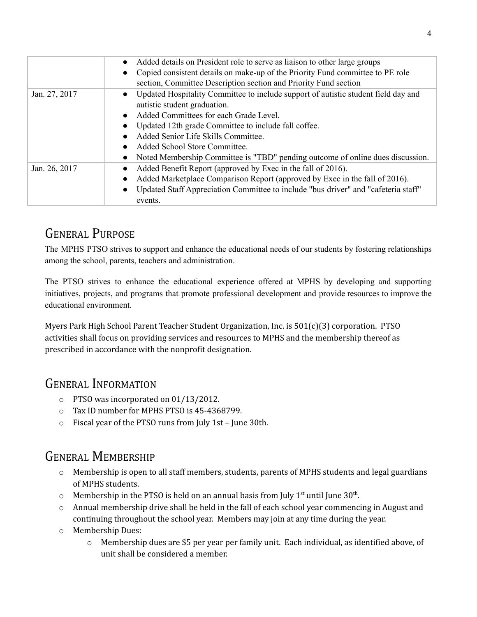|               | Added details on President role to serve as liaison to other large groups                       |
|---------------|-------------------------------------------------------------------------------------------------|
|               | Copied consistent details on make-up of the Priority Fund committee to PE role                  |
|               | section, Committee Description section and Priority Fund section                                |
| Jan. 27, 2017 | Updated Hospitality Committee to include support of autistic student field day and              |
|               | autistic student graduation.                                                                    |
|               | Added Committees for each Grade Level.                                                          |
|               | Updated 12th grade Committee to include fall coffee.                                            |
|               | Added Senior Life Skills Committee.                                                             |
|               | Added School Store Committee.                                                                   |
|               | Noted Membership Committee is "TBD" pending outcome of online dues discussion.                  |
| Jan. 26, 2017 | Added Benefit Report (approved by Exec in the fall of 2016).                                    |
|               | Added Marketplace Comparison Report (approved by Exec in the fall of 2016).                     |
|               | Updated Staff Appreciation Committee to include "bus driver" and "cafeteria staff"<br>$\bullet$ |
|               | events.                                                                                         |

## <span id="page-3-0"></span>GENERAL PURPOSE

The MPHS PTSO strives to support and enhance the educational needs of our students by fostering relationships among the school, parents, teachers and administration.

The PTSO strives to enhance the educational experience offered at MPHS by developing and supporting initiatives, projects, and programs that promote professional development and provide resources to improve the educational environment.

Myers Park High School Parent Teacher Student Organization, Inc. is 501(c)(3) corporation. PTSO activities shall focus on providing services and resources to MPHS and the membership thereof as prescribed in accordance with the nonprofit designation.

# <span id="page-3-1"></span>GENERAL INFORMATION

- o PTSO was incorporated on 01/13/2012.
- o Tax ID number for MPHS PTSO is 45-4368799.
- <span id="page-3-2"></span>o Fiscal year of the PTSO runs from July 1st – June 30th.

# GENERAL MEMBERSHIP

- $\circ$  Membership is open to all staff members, students, parents of MPHS students and legal guardians of MPHS students.
- $\circ$  Membership in the PTSO is held on an annual basis from July 1<sup>st</sup> until June 30<sup>th</sup>.
- $\circ$  Annual membership drive shall be held in the fall of each school year commencing in August and continuing throughout the school year. Members may join at any time during the year.
- o Membership Dues:
	- o Membership dues are \$5 per year per family unit. Each individual, as identified above, of unit shall be considered a member.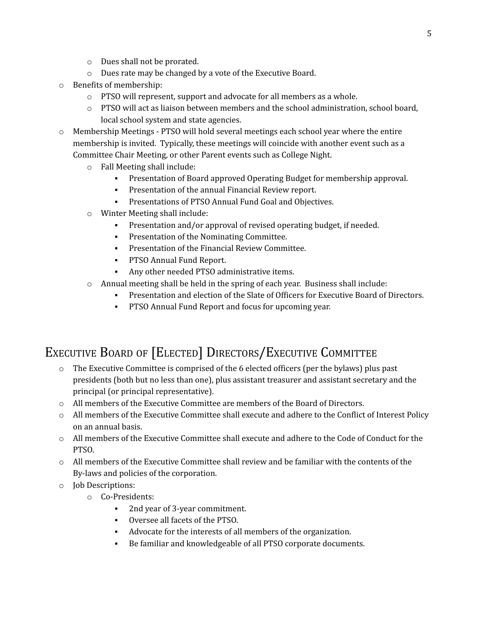- o Dues shall not be prorated.
- o Dues rate may be changed by a vote of the Executive Board.
- o Benefits of membership:
	- o PTSO will represent, support and advocate for all members as a whole.
	- $\circ$  PTSO will act as liaison between members and the school administration, school board, local school system and state agencies.
- o Membership Meetings PTSO will hold several meetings each school year where the entire membership is invited. Typically, these meetings will coincide with another event such as a Committee Chair Meeting, or other Parent events such as College Night.
	- o Fall Meeting shall include:
		- Presentation of Board approved Operating Budget for membership approval.
		- Presentation of the annual Financial Review report.
		- Presentations of PTSO Annual Fund Goal and Objectives.
	- o Winter Meeting shall include:
		- Presentation and/or approval of revised operating budget, if needed.
		- **•** Presentation of the Nominating Committee.
		- **Presentation of the Financial Review Committee.**
		- **PTSO Annual Fund Report.**
		- Any other needed PTSO administrative items.
	- $\circ$  Annual meeting shall be held in the spring of each year. Business shall include:
		- Presentation and election of the Slate of Officers for Executive Board of Directors.
		- **PTSO Annual Fund Report and focus for upcoming year.**

# <span id="page-4-0"></span>EXECUTIVE BOARD OF [ELECTED] DIRECTORS/EXECUTIVE COMMITTEE

- o The Executive Committee is comprised of the 6 elected officers (per the bylaws) plus past presidents (both but no less than one), plus assistant treasurer and assistant secretary and the principal (or principal representative).
- o All members of the Executive Committee are members of the Board of Directors.
- o All members of the Executive Committee shall execute and adhere to the Conflict of Interest Policy on an annual basis.
- o All members of the Executive Committee shall execute and adhere to the Code of Conduct for the PTSO.
- o All members of the Executive Committee shall review and be familiar with the contents of the By-laws and policies of the corporation.
- o Job Descriptions:
	- o Co-Presidents:
		- 2nd year of 3-year commitment.
		- Oversee all facets of the PTSO.
		- Advocate for the interests of all members of the organization.
		- Be familiar and knowledgeable of all PTSO corporate documents.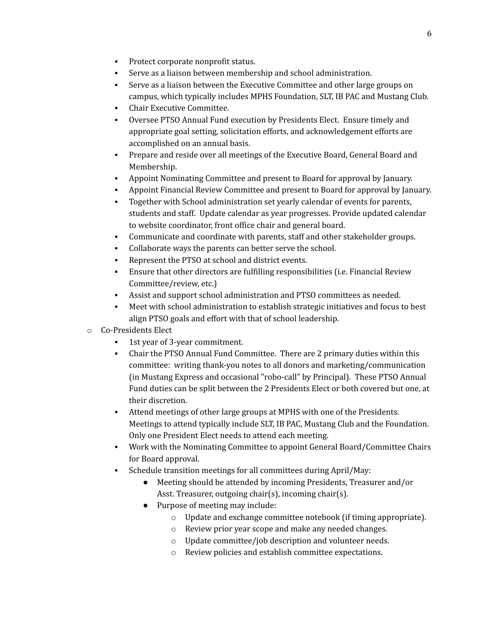- Protect corporate nonprofit status.
- Serve as a liaison between membership and school administration.
- Serve as a liaison between the Executive Committee and other large groups on campus, which typically includes MPHS Foundation, SLT, IB PAC and Mustang Club.
- Chair Executive Committee.
- Oversee PTSO Annual Fund execution by Presidents Elect. Ensure timely and appropriate goal setting, solicitation efforts, and acknowledgement efforts are accomplished on an annual basis.
- Prepare and reside over all meetings of the Executive Board, General Board and Membership.
- Appoint Nominating Committee and present to Board for approval by January.
- Appoint Financial Review Committee and present to Board for approval by January.
- Together with School administration set yearly calendar of events for parents, students and staff. Update calendar as year progresses. Provide updated calendar to website coordinator, front office chair and general board.
- Communicate and coordinate with parents, staff and other stakeholder groups.
- Collaborate ways the parents can better serve the school.
- Represent the PTSO at school and district events.
- Ensure that other directors are fulfilling responsibilities (i.e. Financial Review Committee/review, etc.)
- Assist and support school administration and PTSO committees as needed.
- Meet with school administration to establish strategic initiatives and focus to best align PTSO goals and effort with that of school leadership.
- o Co-Presidents Elect
	- 1st year of 3-year commitment.
	- Chair the PTSO Annual Fund Committee. There are 2 primary duties within this committee: writing thank-you notes to all donors and marketing/communication (in Mustang Express and occasional "robo-call" by Principal). These PTSO Annual Fund duties can be split between the 2 Presidents Elect or both covered but one, at their discretion.
	- Attend meetings of other large groups at MPHS with one of the Presidents. Meetings to attend typically include SLT, IB PAC, Mustang Club and the Foundation. Only one President Elect needs to attend each meeting.
	- Work with the Nominating Committee to appoint General Board/Committee Chairs for Board approval.
	- Schedule transition meetings for all committees during April/May:
		- Meeting should be attended by incoming Presidents, Treasurer and/or Asst. Treasurer, outgoing chair(s), incoming chair(s).
		- Purpose of meeting may include:
			- o Update and exchange committee notebook (if timing appropriate).
			- o Review prior year scope and make any needed changes.
			- o Update committee/job description and volunteer needs.
			- o Review policies and establish committee expectations.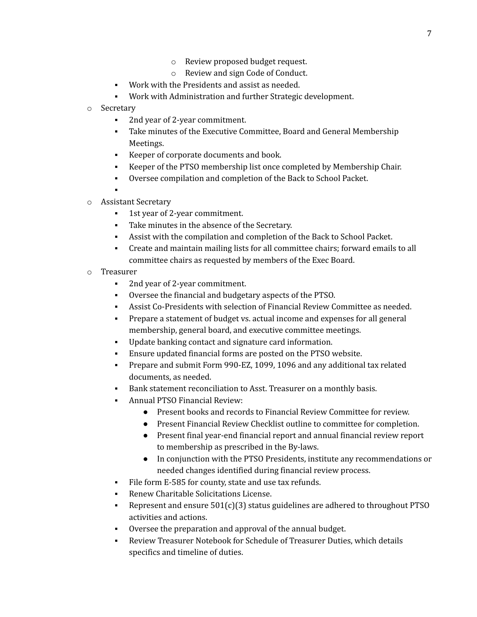- o Review proposed budget request.
- o Review and sign Code of Conduct.
- Work with the Presidents and assist as needed.
- Work with Administration and further Strategic development.
- o Secretary
	- 2nd year of 2-year commitment.
	- Take minutes of the Executive Committee, Board and General Membership Meetings.
	- Keeper of corporate documents and book.
	- Keeper of the PTSO membership list once completed by Membership Chair.
	- Oversee compilation and completion of the Back to School Packet.
	- ▪
- o Assistant Secretary
	- 1st year of 2-year commitment.
	- Take minutes in the absence of the Secretary.
	- Assist with the compilation and completion of the Back to School Packet.
	- Create and maintain mailing lists for all committee chairs; forward emails to all committee chairs as requested by members of the Exec Board.
- o Treasurer
	- 2nd year of 2-year commitment.
	- Oversee the financial and budgetary aspects of the PTSO.
	- Assist Co-Presidents with selection of Financial Review Committee as needed.
	- Prepare a statement of budget vs. actual income and expenses for all general membership, general board, and executive committee meetings.
	- Update banking contact and signature card information.
	- Ensure updated financial forms are posted on the PTSO website.
	- Prepare and submit Form 990-EZ, 1099, 1096 and any additional tax related documents, as needed.
	- Bank statement reconciliation to Asst. Treasurer on a monthly basis.
	- Annual PTSO Financial Review:
		- Present books and records to Financial Review Committee for review.
		- Present Financial Review Checklist outline to committee for completion.
		- Present final year-end financial report and annual financial review report to membership as prescribed in the By-laws.
		- In conjunction with the PTSO Presidents, institute any recommendations or needed changes identified during financial review process.
	- File form E-585 for county, state and use tax refunds.
	- Renew Charitable Solicitations License.
	- Represent and ensure  $501(c)(3)$  status guidelines are adhered to throughout PTSO activities and actions.
	- Oversee the preparation and approval of the annual budget.
	- Review Treasurer Notebook for Schedule of Treasurer Duties, which details specifics and timeline of duties.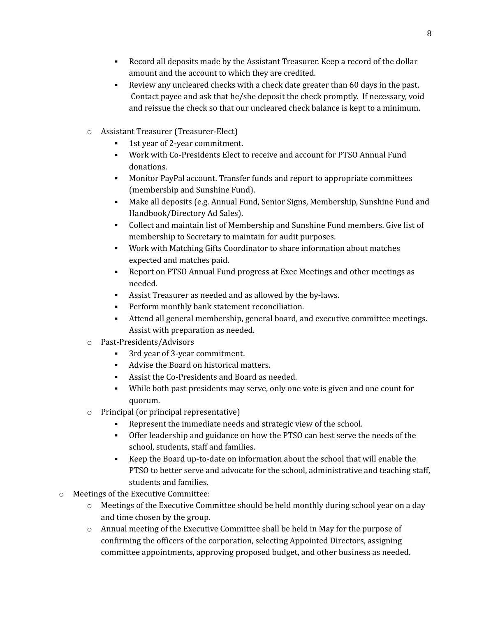- Record all deposits made by the Assistant Treasurer. Keep a record of the dollar amount and the account to which they are credited.
- Review any uncleared checks with a check date greater than 60 days in the past. Contact payee and ask that he/she deposit the check promptly. If necessary, void and reissue the check so that our uncleared check balance is kept to a minimum.
- o Assistant Treasurer (Treasurer-Elect)
	- 1st year of 2-year commitment.
	- Work with Co-Presidents Elect to receive and account for PTSO Annual Fund donations.
	- Monitor PayPal account. Transfer funds and report to appropriate committees (membership and Sunshine Fund).
	- Make all deposits (e.g. Annual Fund, Senior Signs, Membership, Sunshine Fund and Handbook/Directory Ad Sales).
	- Collect and maintain list of Membership and Sunshine Fund members. Give list of membership to Secretary to maintain for audit purposes.
	- Work with Matching Gifts Coordinator to share information about matches expected and matches paid.
	- Report on PTSO Annual Fund progress at Exec Meetings and other meetings as needed.
	- Assist Treasurer as needed and as allowed by the by-laws.
	- **•** Perform monthly bank statement reconciliation.
	- Attend all general membership, general board, and executive committee meetings. Assist with preparation as needed.
- o Past-Presidents/Advisors
	- 3rd year of 3-year commitment.
	- Advise the Board on historical matters.
	- Assist the Co-Presidents and Board as needed.
	- While both past presidents may serve, only one vote is given and one count for quorum.
- o Principal (or principal representative)
	- Represent the immediate needs and strategic view of the school.
	- Offer leadership and guidance on how the PTSO can best serve the needs of the school, students, staff and families.
	- Keep the Board up-to-date on information about the school that will enable the PTSO to better serve and advocate for the school, administrative and teaching staff, students and families.
- o Meetings of the Executive Committee:
	- o Meetings of the Executive Committee should be held monthly during school year on a day and time chosen by the group.
	- o Annual meeting of the Executive Committee shall be held in May for the purpose of confirming the officers of the corporation, selecting Appointed Directors, assigning committee appointments, approving proposed budget, and other business as needed.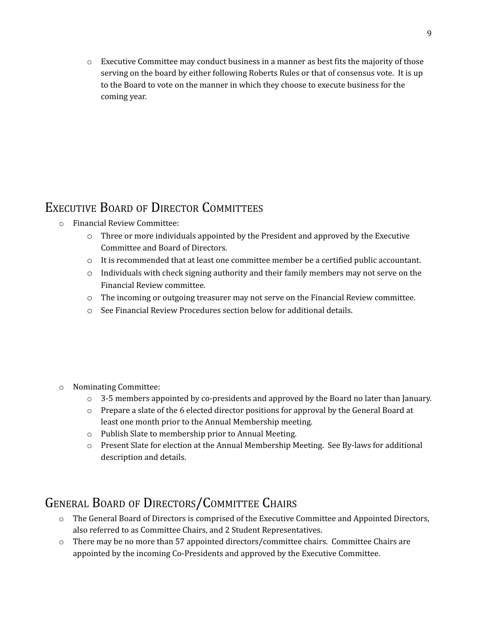<span id="page-8-0"></span> $\circ$  Executive Committee may conduct business in a manner as best fits the majority of those serving on the board by either following Roberts Rules or that of consensus vote. It is up to the Board to vote on the manner in which they choose to execute business for the coming year.

### EXECUTIVE BOARD OF DIRECTOR COMMITTEES

- o Financial Review Committee:
	- o Three or more individuals appointed by the President and approved by the Executive Committee and Board of Directors.
	- $\circ$  It is recommended that at least one committee member be a certified public accountant.
	- $\circ$  Individuals with check signing authority and their family members may not serve on the Financial Review committee.
	- o The incoming or outgoing treasurer may not serve on the Financial Review committee.
	- o See Financial Review Procedures section below for additional details.

- o Nominating Committee:
	- $\circ$  3-5 members appointed by co-presidents and approved by the Board no later than January.
	- $\circ$  Prepare a slate of the 6 elected director positions for approval by the General Board at least one month prior to the Annual Membership meeting.
	- o Publish Slate to membership prior to Annual Meeting.
	- o Present Slate for election at the Annual Membership Meeting. See By-laws for additional description and details.

# <span id="page-8-1"></span>GENERAL BOARD OF DIRECTORS/COMMITTEE CHAIRS

- o The General Board of Directors is comprised of the Executive Committee and Appointed Directors, also referred to as Committee Chairs, and 2 Student Representatives.
- o There may be no more than 57 appointed directors/committee chairs. Committee Chairs are appointed by the incoming Co-Presidents and approved by the Executive Committee.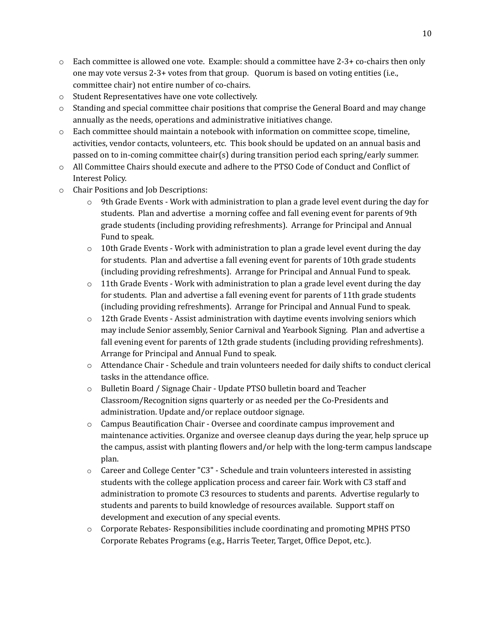- $\circ$  Each committee is allowed one vote. Example: should a committee have 2-3+ co-chairs then only one may vote versus 2-3+ votes from that group. Quorum is based on voting entities (i.e., committee chair) not entire number of co-chairs.
- o Student Representatives have one vote collectively.
- $\circ$  Standing and special committee chair positions that comprise the General Board and may change annually as the needs, operations and administrative initiatives change.
- o Each committee should maintain a notebook with information on committee scope, timeline, activities, vendor contacts, volunteers, etc. This book should be updated on an annual basis and passed on to in-coming committee chair(s) during transition period each spring/early summer.
- o All Committee Chairs should execute and adhere to the PTSO Code of Conduct and Conflict of Interest Policy.
- o Chair Positions and Job Descriptions:
	- $\circ$  9th Grade Events Work with administration to plan a grade level event during the day for students. Plan and advertise a morning coffee and fall evening event for parents of 9th grade students (including providing refreshments). Arrange for Principal and Annual Fund to speak.
	- $\circ$  10th Grade Events Work with administration to plan a grade level event during the day for students. Plan and advertise a fall evening event for parents of 10th grade students (including providing refreshments). Arrange for Principal and Annual Fund to speak.
	- $\circ$  11th Grade Events Work with administration to plan a grade level event during the day for students. Plan and advertise a fall evening event for parents of 11th grade students (including providing refreshments). Arrange for Principal and Annual Fund to speak.
	- $\circ$  12th Grade Events Assist administration with daytime events involving seniors which may include Senior assembly, Senior Carnival and Yearbook Signing. Plan and advertise a fall evening event for parents of 12th grade students (including providing refreshments). Arrange for Principal and Annual Fund to speak.
	- o Attendance Chair Schedule and train volunteers needed for daily shifts to conduct clerical tasks in the attendance office.
	- o Bulletin Board / Signage Chair Update PTSO bulletin board and Teacher Classroom/Recognition signs quarterly or as needed per the Co-Presidents and administration. Update and/or replace outdoor signage.
	- o Campus Beautification Chair Oversee and coordinate campus improvement and maintenance activities. Organize and oversee cleanup days during the year, help spruce up the campus, assist with planting flowers and/or help with the long-term campus landscape plan.
	- $\circ$  Career and College Center "C3" Schedule and train volunteers interested in assisting students with the college application process and career fair. Work with C3 staff and administration to promote C3 resources to students and parents. Advertise regularly to students and parents to build knowledge of resources available. Support staff on development and execution of any special events.
	- o Corporate Rebates- Responsibilities include coordinating and promoting MPHS PTSO Corporate Rebates Programs (e.g., Harris Teeter, Target, Office Depot, etc.).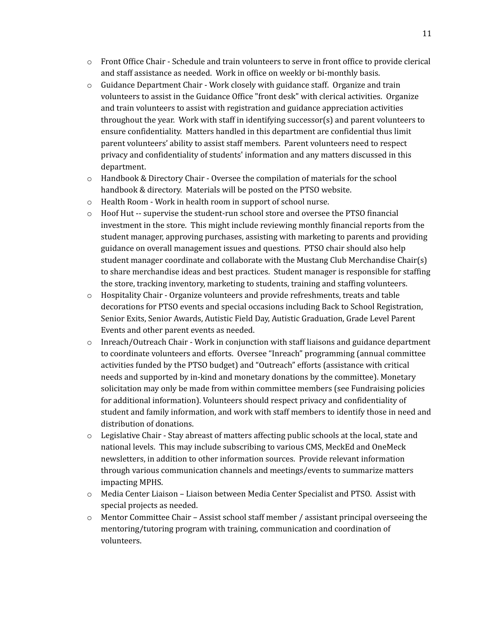- o Front Office Chair Schedule and train volunteers to serve in front office to provide clerical and staff assistance as needed. Work in office on weekly or bi-monthly basis.
- o Guidance Department Chair Work closely with guidance staff. Organize and train volunteers to assist in the Guidance Office "front desk" with clerical activities. Organize and train volunteers to assist with registration and guidance appreciation activities throughout the year. Work with staff in identifying successor(s) and parent volunteers to ensure confidentiality. Matters handled in this department are confidential thus limit parent volunteers' ability to assist staff members. Parent volunteers need to respect privacy and confidentiality of students' information and any matters discussed in this department.
- o Handbook & Directory Chair Oversee the compilation of materials for the school handbook & directory. Materials will be posted on the PTSO website.
- o Health Room Work in health room in support of school nurse.
- o Hoof Hut -- supervise the student-run school store and oversee the PTSO financial investment in the store. This might include reviewing monthly financial reports from the student manager, approving purchases, assisting with marketing to parents and providing guidance on overall management issues and questions. PTSO chair should also help student manager coordinate and collaborate with the Mustang Club Merchandise Chair(s) to share merchandise ideas and best practices. Student manager is responsible for staffing the store, tracking inventory, marketing to students, training and staffing volunteers.
- o Hospitality Chair Organize volunteers and provide refreshments, treats and table decorations for PTSO events and special occasions including Back to School Registration, Senior Exits, Senior Awards, Autistic Field Day, Autistic Graduation, Grade Level Parent Events and other parent events as needed.
- $\circ$  Inreach/Outreach Chair Work in conjunction with staff liaisons and guidance department to coordinate volunteers and efforts. Oversee "Inreach" programming (annual committee activities funded by the PTSO budget) and "Outreach" efforts (assistance with critical needs and supported by in-kind and monetary donations by the committee). Monetary solicitation may only be made from within committee members (see Fundraising policies for additional information). Volunteers should respect privacy and confidentiality of student and family information, and work with staff members to identify those in need and distribution of donations.
- $\circ$  Legislative Chair Stay abreast of matters affecting public schools at the local, state and national levels. This may include subscribing to various CMS, MeckEd and OneMeck newsletters, in addition to other information sources. Provide relevant information through various communication channels and meetings/events to summarize matters impacting MPHS.
- o Media Center Liaison Liaison between Media Center Specialist and PTSO. Assist with special projects as needed.
- $\circ$  Mentor Committee Chair Assist school staff member / assistant principal overseeing the mentoring/tutoring program with training, communication and coordination of volunteers.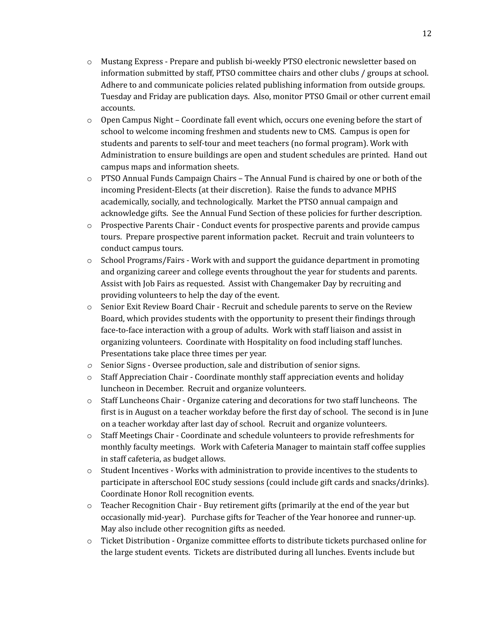- o Mustang Express Prepare and publish bi-weekly PTSO electronic newsletter based on information submitted by staff, PTSO committee chairs and other clubs / groups at school. Adhere to and communicate policies related publishing information from outside groups. Tuesday and Friday are publication days. Also, monitor PTSO Gmail or other current email accounts.
- o Open Campus Night Coordinate fall event which, occurs one evening before the start of school to welcome incoming freshmen and students new to CMS. Campus is open for students and parents to self-tour and meet teachers (no formal program). Work with Administration to ensure buildings are open and student schedules are printed. Hand out campus maps and information sheets.
- $\circ$  PTSO Annual Funds Campaign Chairs The Annual Fund is chaired by one or both of the incoming President-Elects (at their discretion). Raise the funds to advance MPHS academically, socially, and technologically. Market the PTSO annual campaign and acknowledge gifts. See the Annual Fund Section of these policies for further description.
- o Prospective Parents Chair Conduct events for prospective parents and provide campus tours. Prepare prospective parent information packet. Recruit and train volunteers to conduct campus tours.
- o School Programs/Fairs Work with and support the guidance department in promoting and organizing career and college events throughout the year for students and parents. Assist with Job Fairs as requested. Assist with Changemaker Day by recruiting and providing volunteers to help the day of the event.
- o Senior Exit Review Board Chair Recruit and schedule parents to serve on the Review Board, which provides students with the opportunity to present their findings through face-to-face interaction with a group of adults. Work with staff liaison and assist in organizing volunteers. Coordinate with Hospitality on food including staff lunches. Presentations take place three times per year.
- *o* Senior Signs Oversee production, sale and distribution of senior signs.
- o Staff Appreciation Chair Coordinate monthly staff appreciation events and holiday luncheon in December. Recruit and organize volunteers.
- $\circ$  Staff Luncheons Chair Organize catering and decorations for two staff luncheons. The first is in August on a teacher workday before the first day of school. The second is in June on a teacher workday after last day of school. Recruit and organize volunteers.
- o Staff Meetings Chair Coordinate and schedule volunteers to provide refreshments for monthly faculty meetings. Work with Cafeteria Manager to maintain staff coffee supplies in staff cafeteria, as budget allows.
- o Student Incentives Works with administration to provide incentives to the students to participate in afterschool EOC study sessions (could include gift cards and snacks/drinks). Coordinate Honor Roll recognition events.
- $\circ$  Teacher Recognition Chair Buy retirement gifts (primarily at the end of the year but occasionally mid-year). Purchase gifts for Teacher of the Year honoree and runner-up. May also include other recognition gifts as needed.
- $\circ$  Ticket Distribution Organize committee efforts to distribute tickets purchased online for the large student events. Tickets are distributed during all lunches. Events include but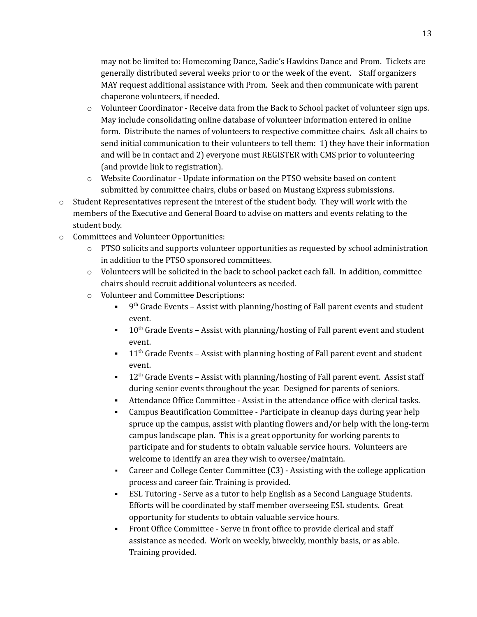may not be limited to: Homecoming Dance, Sadie's Hawkins Dance and Prom. Tickets are generally distributed several weeks prior to or the week of the event. Staff organizers MAY request additional assistance with Prom. Seek and then communicate with parent chaperone volunteers, if needed.

- o Volunteer Coordinator Receive data from the Back to School packet of volunteer sign ups. May include consolidating online database of volunteer information entered in online form. Distribute the names of volunteers to respective committee chairs. Ask all chairs to send initial communication to their volunteers to tell them: 1) they have their information and will be in contact and 2) everyone must REGISTER with CMS prior to volunteering (and provide link to registration).
- o Website Coordinator Update information on the PTSO website based on content submitted by committee chairs, clubs or based on Mustang Express submissions.
- o Student Representatives represent the interest of the student body. They will work with the members of the Executive and General Board to advise on matters and events relating to the student body.
- o Committees and Volunteer Opportunities:
	- $\circ$  PTSO solicits and supports volunteer opportunities as requested by school administration in addition to the PTSO sponsored committees.
	- $\circ$  Volunteers will be solicited in the back to school packet each fall. In addition, committee chairs should recruit additional volunteers as needed.
	- o Volunteer and Committee Descriptions:
		- $\bullet$  9<sup>th</sup> Grade Events Assist with planning/hosting of Fall parent events and student event.
		- $\blacksquare$  10<sup>th</sup> Grade Events Assist with planning/hosting of Fall parent event and student event.
		- $\blacksquare$  11<sup>th</sup> Grade Events Assist with planning hosting of Fall parent event and student event.
		- $\blacksquare$  12<sup>th</sup> Grade Events Assist with planning/hosting of Fall parent event. Assist staff during senior events throughout the year. Designed for parents of seniors.
		- Attendance Office Committee Assist in the attendance office with clerical tasks.
		- Campus Beautification Committee Participate in cleanup days during year help spruce up the campus, assist with planting flowers and/or help with the long-term campus landscape plan. This is a great opportunity for working parents to participate and for students to obtain valuable service hours. Volunteers are welcome to identify an area they wish to oversee/maintain.
		- Career and College Center Committee (C3) Assisting with the college application process and career fair. Training is provided.
		- ESL Tutoring Serve as a tutor to help English as a Second Language Students. Efforts will be coordinated by staff member overseeing ESL students. Great opportunity for students to obtain valuable service hours.
		- Front Office Committee Serve in front office to provide clerical and staff assistance as needed. Work on weekly, biweekly, monthly basis, or as able. Training provided.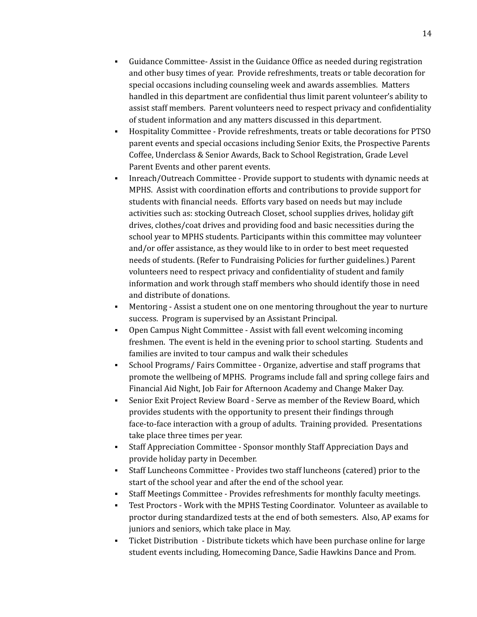- Guidance Committee- Assist in the Guidance Office as needed during registration and other busy times of year. Provide refreshments, treats or table decoration for special occasions including counseling week and awards assemblies. Matters handled in this department are confidential thus limit parent volunteer's ability to assist staff members. Parent volunteers need to respect privacy and confidentiality of student information and any matters discussed in this department.
- Hospitality Committee Provide refreshments, treats or table decorations for PTSO parent events and special occasions including Senior Exits, the Prospective Parents Coffee, Underclass & Senior Awards, Back to School Registration, Grade Level Parent Events and other parent events.
- Inreach/Outreach Committee Provide support to students with dynamic needs at MPHS. Assist with coordination efforts and contributions to provide support for students with financial needs. Efforts vary based on needs but may include activities such as: stocking Outreach Closet, school supplies drives, holiday gift drives, clothes/coat drives and providing food and basic necessities during the school year to MPHS students. Participants within this committee may volunteer and/or offer assistance, as they would like to in order to best meet requested needs of students. (Refer to Fundraising Policies for further guidelines.) Parent volunteers need to respect privacy and confidentiality of student and family information and work through staff members who should identify those in need and distribute of donations.
- Mentoring Assist a student one on one mentoring throughout the year to nurture success. Program is supervised by an Assistant Principal.
- Open Campus Night Committee Assist with fall event welcoming incoming freshmen. The event is held in the evening prior to school starting. Students and families are invited to tour campus and walk their schedules
- School Programs/ Fairs Committee Organize, advertise and staff programs that promote the wellbeing of MPHS. Programs include fall and spring college fairs and Financial Aid Night, Job Fair for Afternoon Academy and Change Maker Day.
- Senior Exit Project Review Board Serve as member of the Review Board, which provides students with the opportunity to present their findings through face-to-face interaction with a group of adults. Training provided. Presentations take place three times per year.
- Staff Appreciation Committee Sponsor monthly Staff Appreciation Days and provide holiday party in December.
- Staff Luncheons Committee Provides two staff luncheons (catered) prior to the start of the school year and after the end of the school year.
- Staff Meetings Committee Provides refreshments for monthly faculty meetings.
- Test Proctors Work with the MPHS Testing Coordinator. Volunteer as available to proctor during standardized tests at the end of both semesters. Also, AP exams for juniors and seniors, which take place in May.
- Ticket Distribution Distribute tickets which have been purchase online for large student events including, Homecoming Dance, Sadie Hawkins Dance and Prom.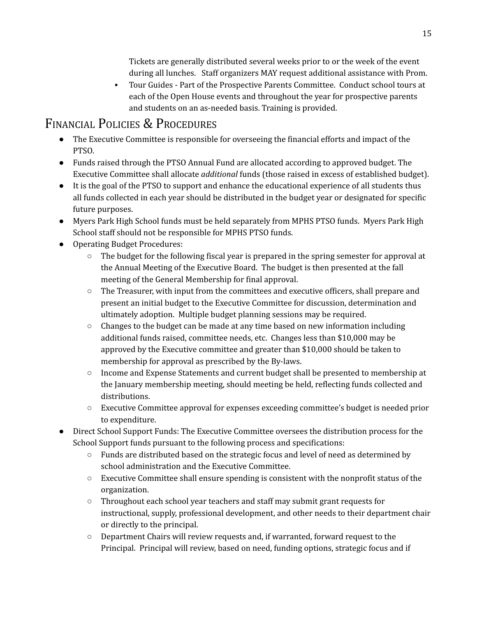Tickets are generally distributed several weeks prior to or the week of the event during all lunches. Staff organizers MAY request additional assistance with Prom.

▪ Tour Guides - Part of the Prospective Parents Committee. Conduct school tours at each of the Open House events and throughout the year for prospective parents and students on an as-needed basis. Training is provided.

### FINANCIAL POLICIES & PROCEDURES

- The Executive Committee is responsible for overseeing the financial efforts and impact of the PTSO.
- Funds raised through the PTSO Annual Fund are allocated according to approved budget. The Executive Committee shall allocate *additional* funds (those raised in excess of established budget).
- It is the goal of the PTSO to support and enhance the educational experience of all students thus all funds collected in each year should be distributed in the budget year or designated for specific future purposes.
- Myers Park High School funds must be held separately from MPHS PTSO funds. Myers Park High School staff should not be responsible for MPHS PTSO funds.
- Operating Budget Procedures:
	- $\circ$  The budget for the following fiscal year is prepared in the spring semester for approval at the Annual Meeting of the Executive Board. The budget is then presented at the fall meeting of the General Membership for final approval.
	- The Treasurer, with input from the committees and executive officers, shall prepare and present an initial budget to the Executive Committee for discussion, determination and ultimately adoption. Multiple budget planning sessions may be required.
	- $\circ$  Changes to the budget can be made at any time based on new information including additional funds raised, committee needs, etc. Changes less than \$10,000 may be approved by the Executive committee and greater than \$10,000 should be taken to membership for approval as prescribed by the By-laws.
	- Income and Expense Statements and current budget shall be presented to membership at the January membership meeting, should meeting be held, reflecting funds collected and distributions.
	- Executive Committee approval for expenses exceeding committee's budget is needed prior to expenditure.
- Direct School Support Funds: The Executive Committee oversees the distribution process for the School Support funds pursuant to the following process and specifications:
	- Funds are distributed based on the strategic focus and level of need as determined by school administration and the Executive Committee.
	- $\circ$  Executive Committee shall ensure spending is consistent with the nonprofit status of the organization.
	- Throughout each school year teachers and staff may submit grant requests for instructional, supply, professional development, and other needs to their department chair or directly to the principal.
	- $\circ$  Department Chairs will review requests and, if warranted, forward request to the Principal. Principal will review, based on need, funding options, strategic focus and if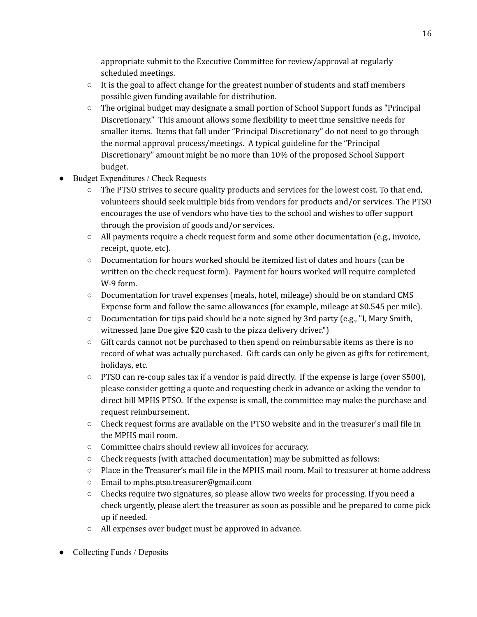appropriate submit to the Executive Committee for review/approval at regularly scheduled meetings.

- $\circ$  It is the goal to affect change for the greatest number of students and staff members possible given funding available for distribution.
- $\circ$  The original budget may designate a small portion of School Support funds as "Principal" Discretionary." This amount allows some flexibility to meet time sensitive needs for smaller items. Items that fall under "Principal Discretionary" do not need to go through the normal approval process/meetings. A typical guideline for the "Principal Discretionary" amount might be no more than 10% of the proposed School Support budget.
- Budget Expenditures / Check Requests
	- $\circ$  The PTSO strives to secure quality products and services for the lowest cost. To that end, volunteers should seek multiple bids from vendors for products and/or services. The PTSO encourages the use of vendors who have ties to the school and wishes to offer support through the provision of goods and/or services.
	- $\circ$  All payments require a check request form and some other documentation (e.g., invoice, receipt, quote, etc).
	- Documentation for hours worked should be itemized list of dates and hours (can be written on the check request form). Payment for hours worked will require completed W-9 form.
	- Documentation for travel expenses (meals, hotel, mileage) should be on standard CMS Expense form and follow the same allowances (for example, mileage at \$0.545 per mile).
	- Documentation for tips paid should be a note signed by 3rd party (e.g., "I, Mary Smith, witnessed Jane Doe give \$20 cash to the pizza delivery driver.")
	- $\circ$  Gift cards cannot not be purchased to then spend on reimbursable items as there is no record of what was actually purchased. Gift cards can only be given as gifts for retirement, holidays, etc.
	- $\circ$  PTSO can re-coup sales tax if a vendor is paid directly. If the expense is large (over \$500), please consider getting a quote and requesting check in advance or asking the vendor to direct bill MPHS PTSO. If the expense is small, the committee may make the purchase and request reimbursement.
	- Check request forms are available on the PTSO website and in the treasurer's mail file in the MPHS mail room.
	- Committee chairs should review all invoices for accuracy.
	- $\circ$  Check requests (with attached documentation) may be submitted as follows:
	- $\circ$  Place in the Treasurer's mail file in the MPHS mail room. Mail to treasurer at home address
	- Email to mphs.ptso.treasurer@gmail.com
	- $\circ$  Checks require two signatures, so please allow two weeks for processing. If you need a check urgently, please alert the treasurer as soon as possible and be prepared to come pick up if needed.
	- All expenses over budget must be approved in advance.
- Collecting Funds / Deposits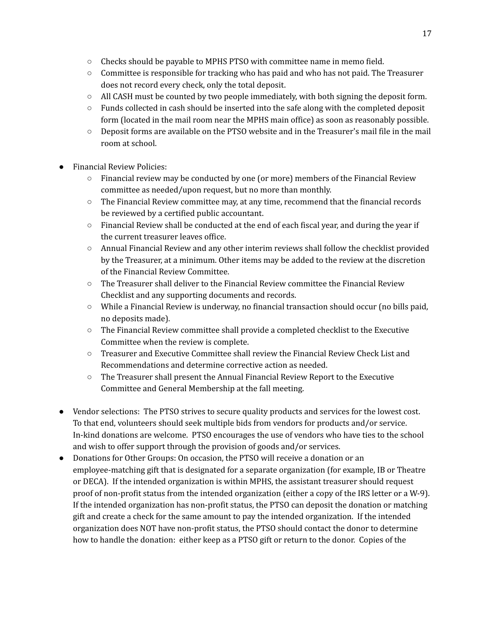- $\circ$  Checks should be payable to MPHS PTSO with committee name in memo field.
- $\circ$  Committee is responsible for tracking who has paid and who has not paid. The Treasurer does not record every check, only the total deposit.
- All CASH must be counted by two people immediately, with both signing the deposit form.
- $\circ$  Funds collected in cash should be inserted into the safe along with the completed deposit form (located in the mail room near the MPHS main office) as soon as reasonably possible.
- Deposit forms are available on the PTSO website and in the Treasurer's mail file in the mail room at school.
- **Financial Review Policies:** 
	- Financial review may be conducted by one (or more) members of the Financial Review committee as needed/upon request, but no more than monthly.
	- The Financial Review committee may, at any time, recommend that the financial records be reviewed by a certified public accountant.
	- Financial Review shall be conducted at the end of each fiscal year, and during the year if the current treasurer leaves office.
	- Annual Financial Review and any other interim reviews shall follow the checklist provided by the Treasurer, at a minimum. Other items may be added to the review at the discretion of the Financial Review Committee.
	- The Treasurer shall deliver to the Financial Review committee the Financial Review Checklist and any supporting documents and records.
	- While a Financial Review is underway, no financial transaction should occur (no bills paid, no deposits made).
	- $\circ$  The Financial Review committee shall provide a completed checklist to the Executive Committee when the review is complete.
	- $\circ$  Treasurer and Executive Committee shall review the Financial Review Check List and Recommendations and determine corrective action as needed.
	- The Treasurer shall present the Annual Financial Review Report to the Executive Committee and General Membership at the fall meeting.
- Vendor selections: The PTSO strives to secure quality products and services for the lowest cost. To that end, volunteers should seek multiple bids from vendors for products and/or service. In-kind donations are welcome. PTSO encourages the use of vendors who have ties to the school and wish to offer support through the provision of goods and/or services.
- Donations for Other Groups: On occasion, the PTSO will receive a donation or an employee-matching gift that is designated for a separate organization (for example, IB or Theatre or DECA). If the intended organization is within MPHS, the assistant treasurer should request proof of non-profit status from the intended organization (either a copy of the IRS letter or a W-9). If the intended organization has non-profit status, the PTSO can deposit the donation or matching gift and create a check for the same amount to pay the intended organization. If the intended organization does NOT have non-profit status, the PTSO should contact the donor to determine how to handle the donation: either keep as a PTSO gift or return to the donor. Copies of the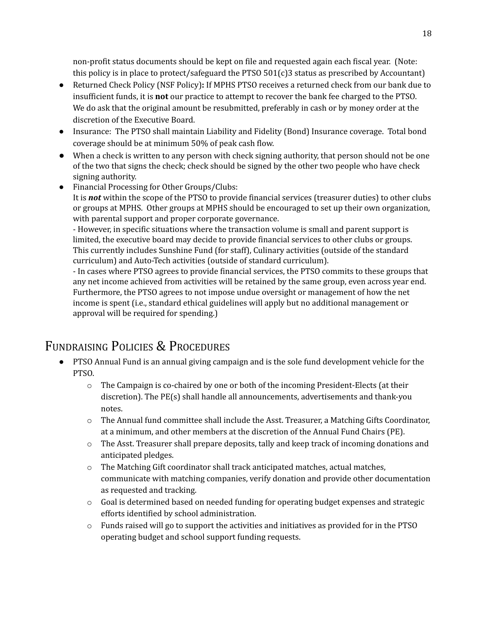non-profit status documents should be kept on file and requested again each fiscal year. (Note: this policy is in place to protect/safeguard the PTSO 501(c)3 status as prescribed by Accountant)

- Returned Check Policy (NSF Policy)**:** If MPHS PTSO receives a returned check from our bank due to insufficient funds, it is **not** our practice to attempt to recover the bank fee charged to the PTSO. We do ask that the original amount be resubmitted, preferably in cash or by money order at the discretion of the Executive Board.
- Insurance: The PTSO shall maintain Liability and Fidelity (Bond) Insurance coverage. Total bond coverage should be at minimum 50% of peak cash flow.
- When a check is written to any person with check signing authority, that person should not be one of the two that signs the check; check should be signed by the other two people who have check signing authority.
- Financial Processing for Other Groups/Clubs: It is *not* within the scope of the PTSO to provide financial services (treasurer duties) to other clubs or groups at MPHS. Other groups at MPHS should be encouraged to set up their own organization, with parental support and proper corporate governance.

- However, in specific situations where the transaction volume is small and parent support is limited, the executive board may decide to provide financial services to other clubs or groups. This currently includes Sunshine Fund (for staff), Culinary activities (outside of the standard curriculum) and Auto-Tech activities (outside of standard curriculum).

- In cases where PTSO agrees to provide financial services, the PTSO commits to these groups that any net income achieved from activities will be retained by the same group, even across year end. Furthermore, the PTSO agrees to not impose undue oversight or management of how the net income is spent (i.e., standard ethical guidelines will apply but no additional management or approval will be required for spending.)

## <span id="page-17-0"></span>FUNDRAISING POLICIES & PROCEDURES

- PTSO Annual Fund is an annual giving campaign and is the sole fund development vehicle for the PTSO.
	- o The Campaign is co-chaired by one or both of the incoming President-Elects (at their discretion). The PE(s) shall handle all announcements, advertisements and thank-you notes.
	- o The Annual fund committee shall include the Asst. Treasurer, a Matching Gifts Coordinator, at a minimum, and other members at the discretion of the Annual Fund Chairs (PE).
	- o The Asst. Treasurer shall prepare deposits, tally and keep track of incoming donations and anticipated pledges.
	- o The Matching Gift coordinator shall track anticipated matches, actual matches, communicate with matching companies, verify donation and provide other documentation as requested and tracking.
	- $\circ$  Goal is determined based on needed funding for operating budget expenses and strategic efforts identified by school administration.
	- $\circ$  Funds raised will go to support the activities and initiatives as provided for in the PTSO operating budget and school support funding requests.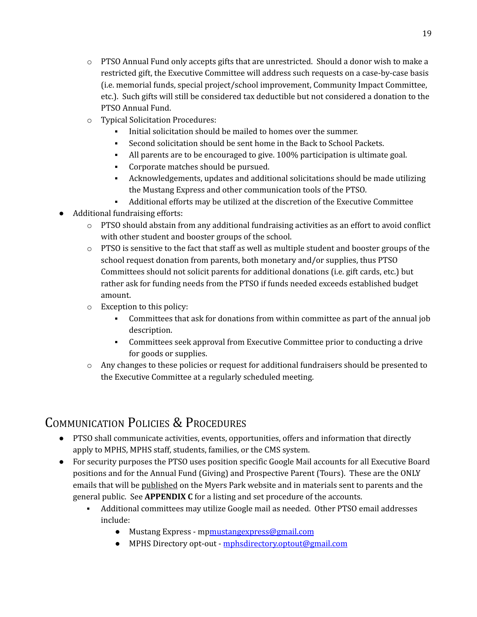- $\circ$  PTSO Annual Fund only accepts gifts that are unrestricted. Should a donor wish to make a restricted gift, the Executive Committee will address such requests on a case-by-case basis (i.e. memorial funds, special project/school improvement, Community Impact Committee, etc.). Such gifts will still be considered tax deductible but not considered a donation to the PTSO Annual Fund.
- o Typical Solicitation Procedures:
	- Initial solicitation should be mailed to homes over the summer.
	- Second solicitation should be sent home in the Back to School Packets.
	- All parents are to be encouraged to give. 100% participation is ultimate goal.
	- Corporate matches should be pursued.
	- Acknowledgements, updates and additional solicitations should be made utilizing the Mustang Express and other communication tools of the PTSO.
	- Additional efforts may be utilized at the discretion of the Executive Committee
- Additional fundraising efforts:
	- $\circ$  PTSO should abstain from any additional fundraising activities as an effort to avoid conflict with other student and booster groups of the school.
	- $\circ$  PTSO is sensitive to the fact that staff as well as multiple student and booster groups of the school request donation from parents, both monetary and/or supplies, thus PTSO Committees should not solicit parents for additional donations (i.e. gift cards, etc.) but rather ask for funding needs from the PTSO if funds needed exceeds established budget amount.
	- o Exception to this policy:
		- Committees that ask for donations from within committee as part of the annual job description.
		- Committees seek approval from Executive Committee prior to conducting a drive for goods or supplies.
	- $\circ$  Any changes to these policies or request for additional fundraisers should be presented to the Executive Committee at a regularly scheduled meeting.

# <span id="page-18-0"></span>COMMUNICATION POLICIES & PROCEDURES

- PTSO shall communicate activities, events, opportunities, offers and information that directly apply to MPHS, MPHS staff, students, families, or the CMS system.
- For security purposes the PTSO uses position specific Google Mail accounts for all Executive Board positions and for the Annual Fund (Giving) and Prospective Parent (Tours). These are the ONLY emails that will be published on the Myers Park website and in materials sent to parents and the general public. See **APPENDIX C** for a listing and set procedure of the accounts.
	- Additional committees may utilize Google mail as needed. Other PTSO email addresses include:
		- Mustang Express m[pmustangexpress@gmail.com](mailto:mustangexpress@gmail.com)
		- MPHS Directory opt-out [mphsdirectory.optout@gmail.com](mailto:mphsdirectory.optout@gmail.com)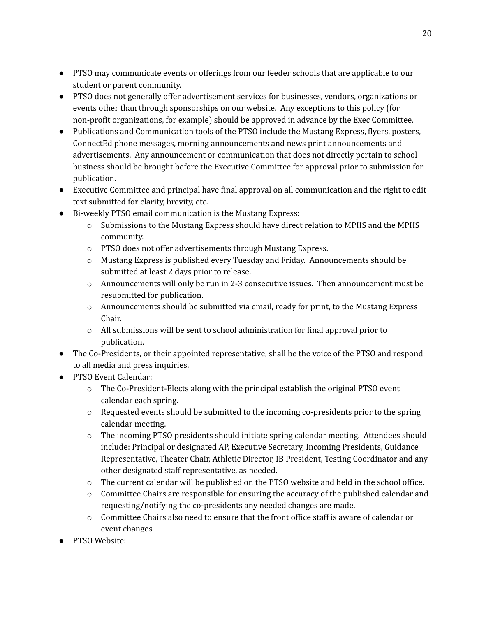- PTSO may communicate events or offerings from our feeder schools that are applicable to our student or parent community.
- PTSO does not generally offer advertisement services for businesses, vendors, organizations or events other than through sponsorships on our website. Any exceptions to this policy (for non-profit organizations, for example) should be approved in advance by the Exec Committee.
- Publications and Communication tools of the PTSO include the Mustang Express, flyers, posters, ConnectEd phone messages, morning announcements and news print announcements and advertisements. Any announcement or communication that does not directly pertain to school business should be brought before the Executive Committee for approval prior to submission for publication.
- Executive Committee and principal have final approval on all communication and the right to edit text submitted for clarity, brevity, etc.
- Bi-weekly PTSO email communication is the Mustang Express:
	- o Submissions to the Mustang Express should have direct relation to MPHS and the MPHS community.
	- o PTSO does not offer advertisements through Mustang Express.
	- o Mustang Express is published every Tuesday and Friday. Announcements should be submitted at least 2 days prior to release.
	- $\circ$  Announcements will only be run in 2-3 consecutive issues. Then announcement must be resubmitted for publication.
	- $\circ$  Announcements should be submitted via email, ready for print, to the Mustang Express Chair.
	- $\circ$  All submissions will be sent to school administration for final approval prior to publication.
- The Co-Presidents, or their appointed representative, shall be the voice of the PTSO and respond to all media and press inquiries.
- PTSO Event Calendar:
	- o The Co-President-Elects along with the principal establish the original PTSO event calendar each spring.
	- $\circ$  Requested events should be submitted to the incoming co-presidents prior to the spring calendar meeting.
	- o The incoming PTSO presidents should initiate spring calendar meeting. Attendees should include: Principal or designated AP, Executive Secretary, Incoming Presidents, Guidance Representative, Theater Chair, Athletic Director, IB President, Testing Coordinator and any other designated staff representative, as needed.
	- o The current calendar will be published on the PTSO website and held in the school office.
	- $\circ$  Committee Chairs are responsible for ensuring the accuracy of the published calendar and requesting/notifying the co-presidents any needed changes are made.
	- o Committee Chairs also need to ensure that the front office staff is aware of calendar or event changes
- PTSO Website: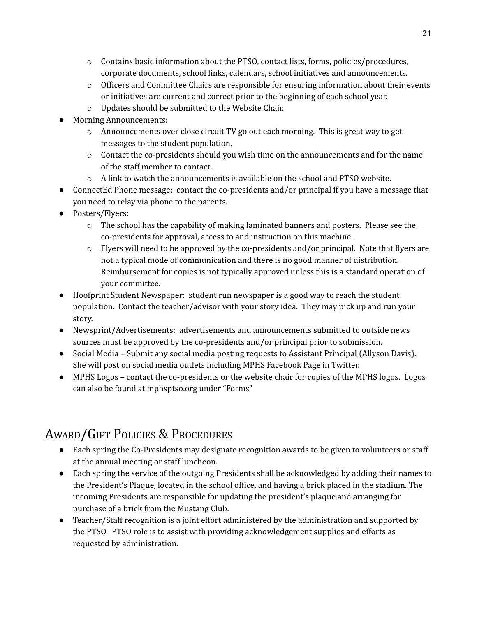- $\circ$  Contains basic information about the PTSO, contact lists, forms, policies/procedures, corporate documents, school links, calendars, school initiatives and announcements.
- $\circ$  Officers and Committee Chairs are responsible for ensuring information about their events or initiatives are current and correct prior to the beginning of each school year.
- o Updates should be submitted to the Website Chair.
- **Morning Announcements:** 
	- $\circ$  Announcements over close circuit TV go out each morning. This is great way to get messages to the student population.
	- $\circ$  Contact the co-presidents should you wish time on the announcements and for the name of the staff member to contact.
	- $\circ$  A link to watch the announcements is available on the school and PTSO website.
- ConnectEd Phone message: contact the co-presidents and/or principal if you have a message that you need to relay via phone to the parents.
- Posters/Flyers:
	- o The school has the capability of making laminated banners and posters. Please see the co-presidents for approval, access to and instruction on this machine.
	- $\circ$  Flyers will need to be approved by the co-presidents and/or principal. Note that flyers are not a typical mode of communication and there is no good manner of distribution. Reimbursement for copies is not typically approved unless this is a standard operation of your committee.
- Hoofprint Student Newspaper: student run newspaper is a good way to reach the student population. Contact the teacher/advisor with your story idea. They may pick up and run your story.
- Newsprint/Advertisements: advertisements and announcements submitted to outside news sources must be approved by the co-presidents and/or principal prior to submission.
- Social Media Submit any social media posting requests to Assistant Principal (Allyson Davis). She will post on social media outlets including MPHS Facebook Page in Twitter.
- MPHS Logos contact the co-presidents or the website chair for copies of the MPHS logos. Logos can also be found at mphsptso.org under "Forms"

# <span id="page-20-0"></span>AWARD/GIFT POLICIES & PROCEDURES

- Each spring the Co-Presidents may designate recognition awards to be given to volunteers or staff at the annual meeting or staff luncheon.
- Each spring the service of the outgoing Presidents shall be acknowledged by adding their names to the President's Plaque, located in the school office, and having a brick placed in the stadium. The incoming Presidents are responsible for updating the president's plaque and arranging for purchase of a brick from the Mustang Club.
- Teacher/Staff recognition is a joint effort administered by the administration and supported by the PTSO. PTSO role is to assist with providing acknowledgement supplies and efforts as requested by administration.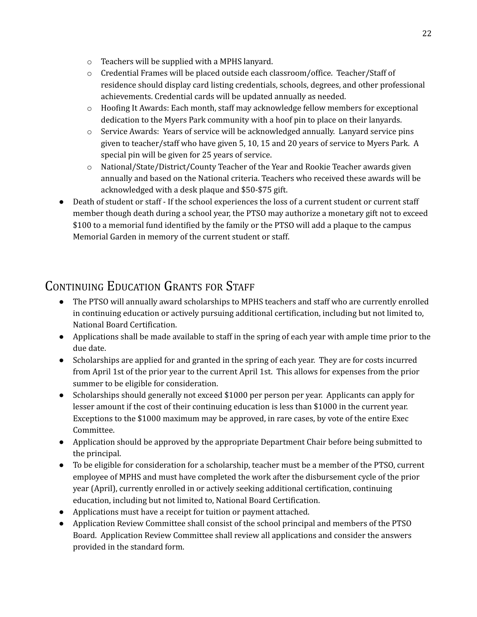- o Teachers will be supplied with a MPHS lanyard.
- o Credential Frames will be placed outside each classroom/office. Teacher/Staff of residence should display card listing credentials, schools, degrees, and other professional achievements. Credential cards will be updated annually as needed.
- $\circ$  Hoofing It Awards: Each month, staff may acknowledge fellow members for exceptional dedication to the Myers Park community with a hoof pin to place on their lanyards.
- o Service Awards: Years of service will be acknowledged annually. Lanyard service pins given to teacher/staff who have given 5, 10, 15 and 20 years of service to Myers Park. A special pin will be given for 25 years of service.
- o National/State/District/County Teacher of the Year and Rookie Teacher awards given annually and based on the National criteria. Teachers who received these awards will be acknowledged with a desk plaque and \$50-\$75 gift.
- Death of student or staff If the school experiences the loss of a current student or current staff member though death during a school year, the PTSO may authorize a monetary gift not to exceed \$100 to a memorial fund identified by the family or the PTSO will add a plaque to the campus Memorial Garden in memory of the current student or staff.

## <span id="page-21-0"></span>CONTINUING EDUCATION GRANTS FOR STAFF

- The PTSO will annually award scholarships to MPHS teachers and staff who are currently enrolled in continuing education or actively pursuing additional certification, including but not limited to, National Board Certification.
- Applications shall be made available to staff in the spring of each year with ample time prior to the due date.
- Scholarships are applied for and granted in the spring of each year. They are for costs incurred from April 1st of the prior year to the current April 1st. This allows for expenses from the prior summer to be eligible for consideration.
- Scholarships should generally not exceed \$1000 per person per year. Applicants can apply for lesser amount if the cost of their continuing education is less than \$1000 in the current year. Exceptions to the \$1000 maximum may be approved, in rare cases, by vote of the entire Exec Committee.
- Application should be approved by the appropriate Department Chair before being submitted to the principal.
- To be eligible for consideration for a scholarship, teacher must be a member of the PTSO, current employee of MPHS and must have completed the work after the disbursement cycle of the prior year (April), currently enrolled in or actively seeking additional certification, continuing education, including but not limited to, National Board Certification.
- Applications must have a receipt for tuition or payment attached.
- Application Review Committee shall consist of the school principal and members of the PTSO Board. Application Review Committee shall review all applications and consider the answers provided in the standard form.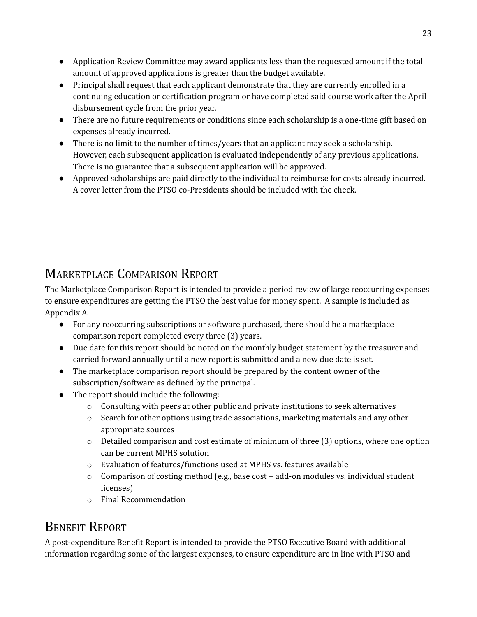- Application Review Committee may award applicants less than the requested amount if the total amount of approved applications is greater than the budget available.
- Principal shall request that each applicant demonstrate that they are currently enrolled in a continuing education or certification program or have completed said course work after the April disbursement cycle from the prior year.
- There are no future requirements or conditions since each scholarship is a one-time gift based on expenses already incurred.
- There is no limit to the number of times/years that an applicant may seek a scholarship. However, each subsequent application is evaluated independently of any previous applications. There is no guarantee that a subsequent application will be approved.
- <span id="page-22-0"></span>● Approved scholarships are paid directly to the individual to reimburse for costs already incurred. A cover letter from the PTSO co-Presidents should be included with the check.

# MARKETPLACE COMPARISON REPORT

The Marketplace Comparison Report is intended to provide a period review of large reoccurring expenses to ensure expenditures are getting the PTSO the best value for money spent. A sample is included as Appendix A.

- For any reoccurring subscriptions or software purchased, there should be a marketplace comparison report completed every three (3) years.
- Due date for this report should be noted on the monthly budget statement by the treasurer and carried forward annually until a new report is submitted and a new due date is set.
- The marketplace comparison report should be prepared by the content owner of the subscription/software as defined by the principal.
- The report should include the following:
	- o Consulting with peers at other public and private institutions to seek alternatives
	- o Search for other options using trade associations, marketing materials and any other appropriate sources
	- o Detailed comparison and cost estimate of minimum of three (3) options, where one option can be current MPHS solution
	- o Evaluation of features/functions used at MPHS vs. features available
	- $\circ$  Comparison of costing method (e.g., base cost + add-on modules vs. individual student licenses)
	- o Final Recommendation

# BENEFIT REPORT

A post-expenditure Benefit Report is intended to provide the PTSO Executive Board with additional information regarding some of the largest expenses, to ensure expenditure are in line with PTSO and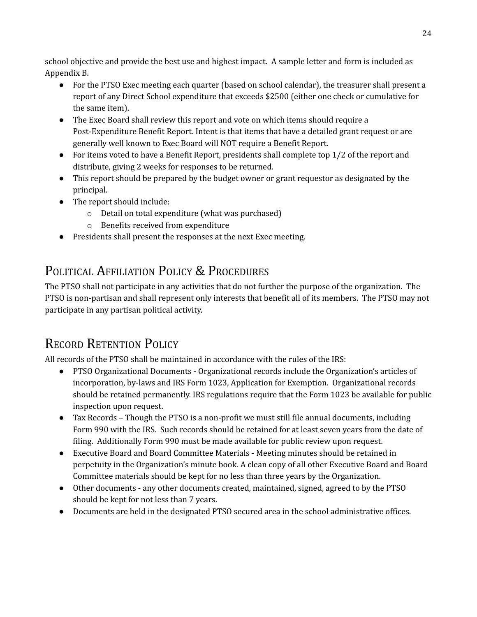school objective and provide the best use and highest impact. A sample letter and form is included as Appendix B.

- For the PTSO Exec meeting each quarter (based on school calendar), the treasurer shall present a report of any Direct School expenditure that exceeds \$2500 (either one check or cumulative for the same item).
- The Exec Board shall review this report and vote on which items should require a Post-Expenditure Benefit Report. Intent is that items that have a detailed grant request or are generally well known to Exec Board will NOT require a Benefit Report.
- $\bullet$  For items voted to have a Benefit Report, presidents shall complete top 1/2 of the report and distribute, giving 2 weeks for responses to be returned.
- This report should be prepared by the budget owner or grant requestor as designated by the principal.
- The report should include:
	- o Detail on total expenditure (what was purchased)
	- o Benefits received from expenditure
- <span id="page-23-0"></span>● Presidents shall present the responses at the next Exec meeting.

# POLITICAL AFFILIATION POLICY & PROCEDURES

The PTSO shall not participate in any activities that do not further the purpose of the organization. The PTSO is non-partisan and shall represent only interests that benefit all of its members. The PTSO may not participate in any partisan political activity.

# <span id="page-23-1"></span>RECORD RETENTION POLICY

All records of the PTSO shall be maintained in accordance with the rules of the IRS:

- PTSO Organizational Documents Organizational records include the Organization's articles of incorporation, by-laws and IRS Form 1023, Application for Exemption. Organizational records should be retained permanently. IRS regulations require that the Form 1023 be available for public inspection upon request.
- Tax Records Though the PTSO is a non-profit we must still file annual documents, including Form 990 with the IRS. Such records should be retained for at least seven years from the date of filing. Additionally Form 990 must be made available for public review upon request.
- Executive Board and Board Committee Materials Meeting minutes should be retained in perpetuity in the Organization's minute book. A clean copy of all other Executive Board and Board Committee materials should be kept for no less than three years by the Organization.
- Other documents any other documents created, maintained, signed, agreed to by the PTSO should be kept for not less than 7 years.
- Documents are held in the designated PTSO secured area in the school administrative offices.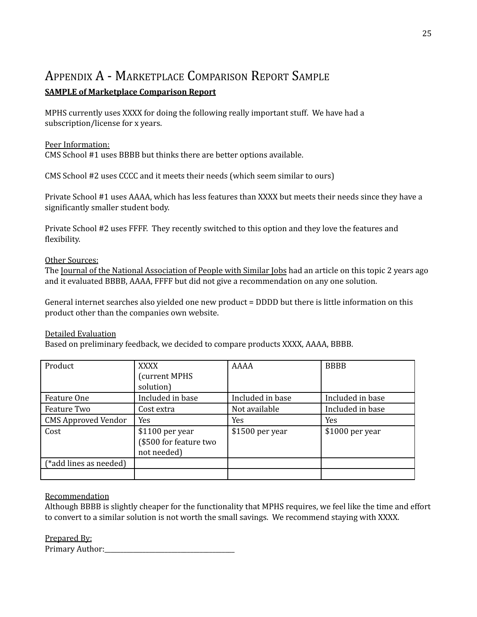### <span id="page-24-0"></span>APPENDIX A - MARKETPLACE COMPARISON REPORT SAMPLE **SAMPLE of Marketplace Comparison Report**

MPHS currently uses XXXX for doing the following really important stuff. We have had a subscription/license for x years.

#### Peer Information:

CMS School #1 uses BBBB but thinks there are better options available.

CMS School #2 uses CCCC and it meets their needs (which seem similar to ours)

Private School #1 uses AAAA, which has less features than XXXX but meets their needs since they have a significantly smaller student body.

Private School #2 uses FFFF. They recently switched to this option and they love the features and flexibility.

#### Other Sources:

The Journal of the National Association of People with Similar Jobs had an article on this topic 2 years ago and it evaluated BBBB, AAAA, FFFF but did not give a recommendation on any one solution.

General internet searches also yielded one new product = DDDD but there is little information on this product other than the companies own website.

### Detailed Evaluation

Based on preliminary feedback, we decided to compare products XXXX, AAAA, BBBB.

| Product                    | <b>XXXX</b>            | <b>AAAA</b>      | <b>BBBB</b>      |
|----------------------------|------------------------|------------------|------------------|
|                            | (current MPHS          |                  |                  |
|                            | solution)              |                  |                  |
| Feature One                | Included in base       | Included in base | Included in base |
| Feature Two                | Cost extra             | Not available    | Included in base |
| <b>CMS Approved Vendor</b> | Yes                    | <b>Yes</b>       | <b>Yes</b>       |
| Cost                       | $$1100$ per year       | \$1500 per year  | $$1000$ per year |
|                            | (\$500 for feature two |                  |                  |
|                            | not needed)            |                  |                  |
| (*add lines as needed)     |                        |                  |                  |
|                            |                        |                  |                  |

### Recommendation

Although BBBB is slightly cheaper for the functionality that MPHS requires, we feel like the time and effort to convert to a similar solution is not worth the small savings. We recommend staying with XXXX.

Prepared By:

Primary Author:\_\_\_\_\_\_\_\_\_\_\_\_\_\_\_\_\_\_\_\_\_\_\_\_\_\_\_\_\_\_\_\_\_\_\_\_\_\_\_\_\_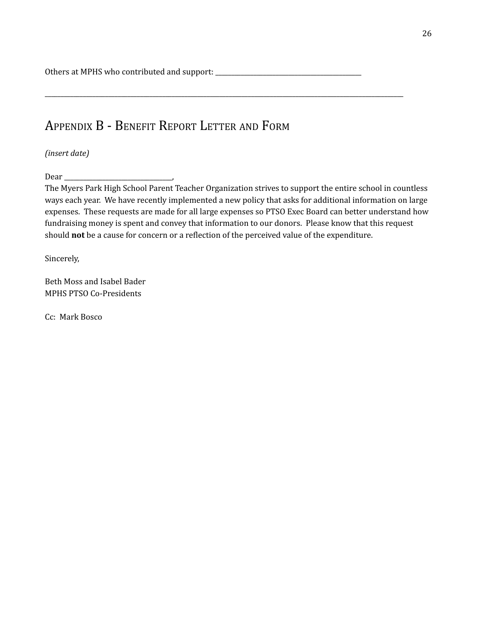Others at MPHS who contributed and support: \_\_\_\_\_\_\_\_\_\_\_\_\_\_\_\_\_\_\_\_\_\_\_\_\_\_\_\_\_\_\_\_\_\_\_\_\_\_\_\_\_\_\_\_\_\_

## APPENDIX B - BENEFIT REPORT LETTER AND FORM

*(insert date)*

Dear \_\_\_\_\_\_\_\_\_\_\_\_\_\_\_\_\_\_\_\_\_\_\_\_\_\_\_\_\_\_\_\_\_\_,

The Myers Park High School Parent Teacher Organization strives to support the entire school in countless ways each year. We have recently implemented a new policy that asks for additional information on large expenses. These requests are made for all large expenses so PTSO Exec Board can better understand how fundraising money is spent and convey that information to our donors. Please know that this request should **not** be a cause for concern or a reflection of the perceived value of the expenditure.

<span id="page-25-0"></span>\_\_\_\_\_\_\_\_\_\_\_\_\_\_\_\_\_\_\_\_\_\_\_\_\_\_\_\_\_\_\_\_\_\_\_\_\_\_\_\_\_\_\_\_\_\_\_\_\_\_\_\_\_\_\_\_\_\_\_\_\_\_\_\_\_\_\_\_\_\_\_\_\_\_\_\_\_\_\_\_\_\_\_\_\_\_\_\_\_\_\_\_\_\_\_\_\_\_\_\_\_\_\_\_\_\_\_\_\_\_\_\_\_

Sincerely,

Beth Moss and Isabel Bader MPHS PTSO Co-Presidents

Cc: Mark Bosco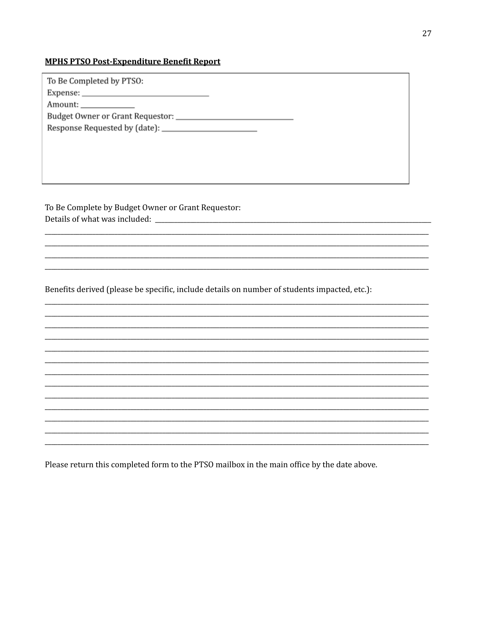### **MPHS PTSO Post-Expenditure Benefit Report**

| To Be Completed by PTSO:                |
|-----------------------------------------|
|                                         |
| Amount:                                 |
| Budget Owner or Grant Requestor: ______ |
|                                         |

To Be Complete by Budget Owner or Grant Requestor: 

Benefits derived (please be specific, include details on number of students impacted, etc.):

Please return this completed form to the PTSO mailbox in the main office by the date above.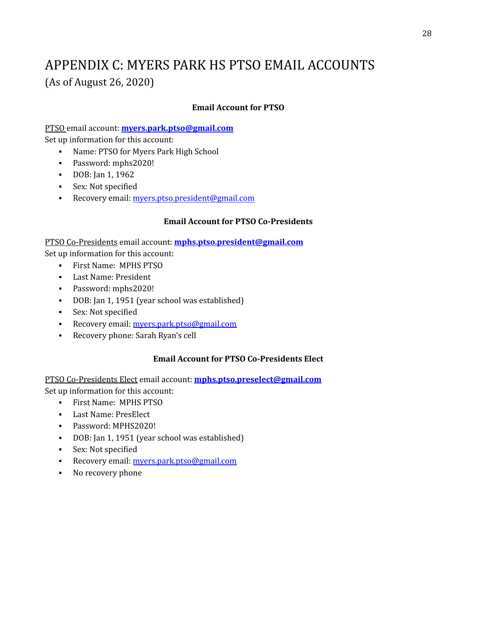# APPENDIX C: MYERS PARK HS PTSO EMAIL ACCOUNTS (As of August 26, 2020)

### **Email Account for PTSO**

PTSO email account: **[myers.park.ptso@gmail.com](mailto:myers.park.ptso@gmail.com)** Set up information for this account:

- Name: PTSO for Myers Park High School
- Password: mphs2020!
- DOB: Jan 1, 1962
- Sex: Not specified
- **•** Recovery email: [myers.ptso.president@gmail.com](mailto:myers.park.ptso@gmail.com)

#### **Email Account for PTSO Co-Presidents**

PTSO Co-Presidents email account: **[mphs.ptso.president@gmail.com](mailto:mphs.ptso.president@gmail.com)** Set up information for this account:

- First Name: MPHS PTSO
- Last Name: President
- Password: mphs2020!
- DOB: Jan 1, 1951 (year school was established)
- **•** Sex: Not specified
- **EXECOVETY EMAIL:** [myers.park.ptso@gmail.com](mailto:myers.park.ptso@gmail.com)
- Recovery phone: Sarah Ryan's cell

#### **Email Account for PTSO Co-Presidents Elect**

PTSO Co-Presidents Elect email account: **[mphs.ptso.preselect@gmail.com](mailto:mphs.ptso.preselect@gmail.com)** Set up information for this account:

- First Name: MPHS PTSO
- Last Name: PresElect
- Password: MPHS2020!
- DOB: Jan 1, 1951 (year school was established)
- Sex: Not specified
- **EXECOVETY EMAIL:** [myers.park.ptso@gmail.com](mailto:myers.park.ptso@gmail.com)
- No recovery phone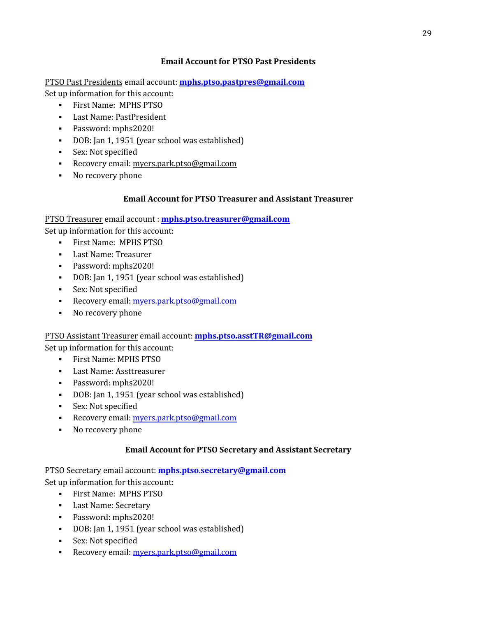### **Email Account for PTSO Past Presidents**

PTSO Past Presidents email account: **[mphs.ptso.pastpres@gmail.com](mailto:mphs.ptso.pastpres@gmail.com)** Set up information for this account:

- First Name: MPHS PTSO
- Last Name: PastPresident
- Password: mphs2020!
- DOB: Jan 1, 1951 (year school was established)
- Sex: Not specified
- Recovery email: [myers.park.ptso@gmail.com](mailto:myers.park.ptso@gmail.com)
- No recovery phone

### **Email Account for PTSO Treasurer and Assistant Treasurer**

PTSO Treasurer email account : **[mphs.ptso.treasurer@gmail.com](mailto:mphs.ptso.treasurer@gmail.com)**

Set up information for this account:

- First Name: MPHS PTSO
- Last Name: Treasurer
- Password: mphs2020!
- DOB: Jan 1, 1951 (year school was established)
- Sex: Not specified
- **•** Recovery email: [myers.park.ptso@gmail.com](mailto:myers.park.ptso@gmail.com)
- No recovery phone

PTSO Assistant Treasurer email account: **[mphs.ptso.asstTR@gmail.com](mailto:mphs.ptso.asstTR@gmail.com)**

Set up information for this account:

- First Name: MPHS PTSO
- Last Name: Assttreasurer
- Password: mphs2020!
- DOB: Jan 1, 1951 (year school was established)
- Sex: Not specified
- **•** Recovery email: [myers.park.ptso@gmail.com](mailto:myers.park.ptso@gmail.com)
- No recovery phone

### **Email Account for PTSO Secretary and Assistant Secretary**

PTSO Secretary email account: **[mphs.ptso.secretary@gmail.com](mailto:mphs.ptso.secretary@gmail.com)** Set up information for this account:

- First Name: MPHS PTSO
- Last Name: Secretary
- Password: mphs2020!
- DOB: Jan 1, 1951 (year school was established)
- Sex: Not specified
- **EXECOVETY EMAIL:** [myers.park.ptso@gmail.com](mailto:myers.park.ptso@gmail.com)